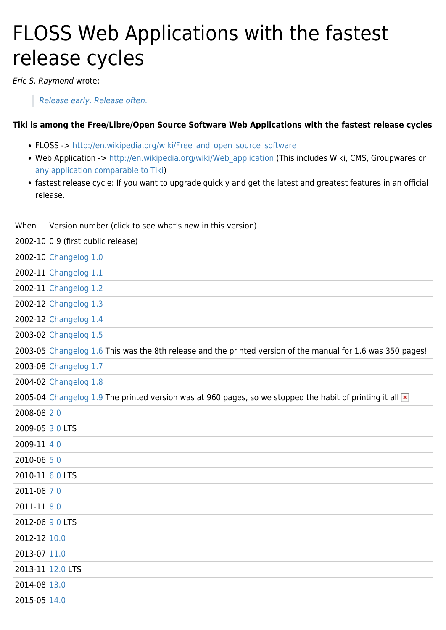#### FLOSS Web Applications with the fastest release cycles

Eric S. Raymond wrote:

[Release early. Release often.](https://en.wikipedia.org/wiki/Release_early,_release_often)

#### **Tiki is among the Free/Libre/Open Source Software Web Applications with the fastest release cycles**

- FLOSS -> [http://en.wikipedia.org/wiki/Free\\_and\\_open\\_source\\_software](http://en.wikipedia.org/wiki/Free_and_open_source_software)
- Web Application -> [http://en.wikipedia.org/wiki/Web\\_application](http://en.wikipedia.org/wiki/Web_application) (This includes Wiki, CMS, Groupwares or [any application comparable to Tiki](https://tiki.org/Tiki-vs))
- fastest release cycle: If you want to upgrade quickly and get the latest and greatest features in an official release.

| When             | Version number (click to see what's new in this version)                                                        |
|------------------|-----------------------------------------------------------------------------------------------------------------|
|                  | 2002-10 0.9 (first public release)                                                                              |
|                  | 2002-10 Changelog 1.0                                                                                           |
|                  | 2002-11 Changelog 1.1                                                                                           |
|                  | 2002-11 Changelog 1.2                                                                                           |
|                  | 2002-12 Changelog 1.3                                                                                           |
|                  | 2002-12 Changelog 1.4                                                                                           |
|                  | 2003-02 Changelog 1.5                                                                                           |
|                  | 2003-05 Changelog 1.6 This was the 8th release and the printed version of the manual for 1.6 was 350 pages!     |
|                  | 2003-08 Changelog 1.7                                                                                           |
|                  | 2004-02 Changelog 1.8                                                                                           |
|                  | 2005-04 Changelog 1.9 The printed version was at 960 pages, so we stopped the habit of printing it all $\times$ |
| 2008-08 2.0      |                                                                                                                 |
| 2009-05 3.0 LTS  |                                                                                                                 |
| 2009-11 4.0      |                                                                                                                 |
| 2010-06 5.0      |                                                                                                                 |
| 2010-11 6.0 LTS  |                                                                                                                 |
| 2011-06 7.0      |                                                                                                                 |
| 2011-11 8.0      |                                                                                                                 |
| 2012-06 9.0 LTS  |                                                                                                                 |
| 2012-12 10.0     |                                                                                                                 |
| 2013-07 11.0     |                                                                                                                 |
| 2013-11 12.0 LTS |                                                                                                                 |
| 2014-08 13.0     |                                                                                                                 |
| 2015-05 14.0     |                                                                                                                 |